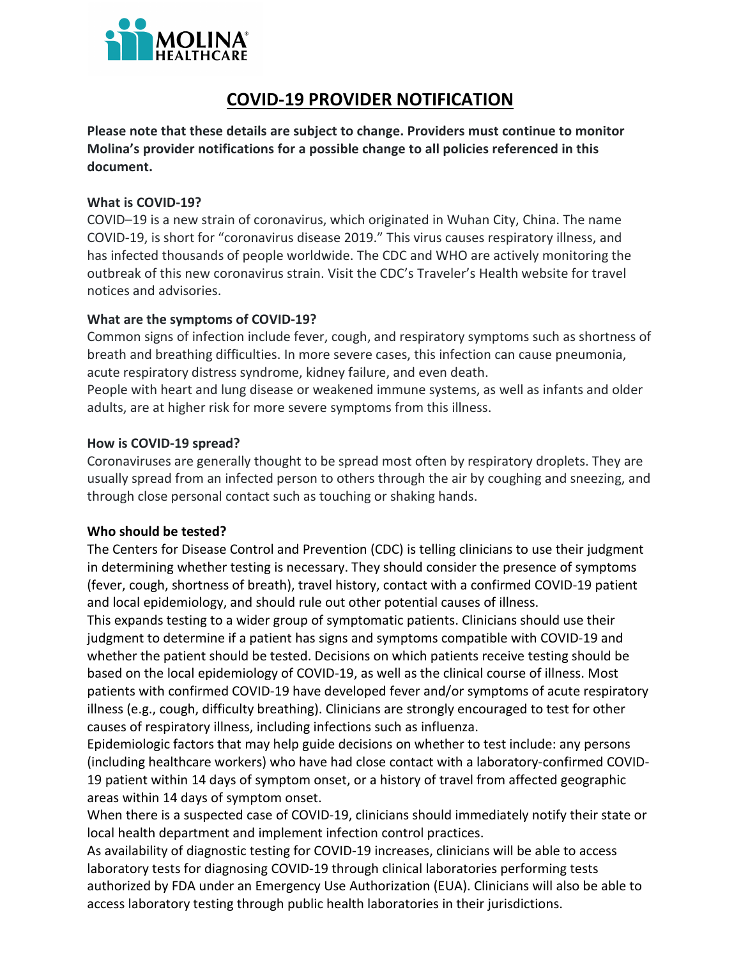

# **COVID-19 PROVIDER NOTIFICATION**

**Please note that these details are subject to change. Providers must continue to monitor Molina's provider notifications for a possible change to all policies referenced in this document.** 

## **What is COVID-19?**

COVID–19 is a new strain of coronavirus, which originated in Wuhan City, China. The name has infected thousands of people worldwide. The CDC and WHO are actively monitoring the COVID-19, is short for "coronavirus disease 2019." This virus causes respiratory illness, and outbreak of this new coronavirus strain. Visit the CDC's Traveler's Health website for travel notices and advisories.

## **What are the symptoms of COVID-19?**

acute respiratory distress syndrome, kidney failure, and even death. Common signs of infection include fever, cough, and respiratory symptoms such as shortness of

and older breath and breathing difficulties. In more severe cases, this infection can cause pneumonia,<br>acute respiratory distress syndrome, kidney failure, and even death.<br>People with heart and lung disease or weakened immune system adults, are at higher risk for more severe symptoms from this illness.

## **How is COVID-19 spread?**

Coronaviruses are generally thought to be spread most often by respiratory droplets. They are usually spread from an infected person to others through the air by coughing and sneezing, and through close personal contact such as touching or shaking hands.

# **Who should be tested?**

The Centers for Disease Control and Prevention (CDC) is telling clinicians to use their judgment in determining whether testing is necessary. They should consider the presence of symptoms (fever, cough, shortness of breath), travel history, contact with a confirmed COVID-19 patient and local epidemiology, and should rule out other potential causes of illness.

 judgment to determine if a patient has signs and symptoms compatible with COVID-19 and patients with confirmed COVID-19 have developed fever and/or symptoms of acute respiratory This expands testing to a wider group of symptomatic patients. Clinicians should use their whether the patient should be tested. Decisions on which patients receive testing should be based on the local epidemiology of COVID-19, as well as the clinical course of illness. Most illness (e.g., cough, difficulty breathing). Clinicians are strongly encouraged to test for other causes of respiratory illness, including infections such as influenza.

 (including healthcare workers) who have had close contact with a laboratory-confirmed COVID-Epidemiologic factors that may help guide decisions on whether to test include: any persons 19 patient within 14 days of symptom onset, or a history of travel from affected geographic areas within 14 days of symptom onset.

When there is a suspected case of COVID-19, clinicians should immediately notify their state or<br>local health department and implement infection control prestices. local health department and implement infection control practices.

As availability of diagnostic testing for COVID-19 increases, clinicians will be able to access laboratory tests for diagnosing COVID-19 through clinical laboratories performing tests authorized by FDA under an Emergency Use Authorization (EUA). Clinicians will also be able to access laboratory testing through public health laboratories in their jurisdictions.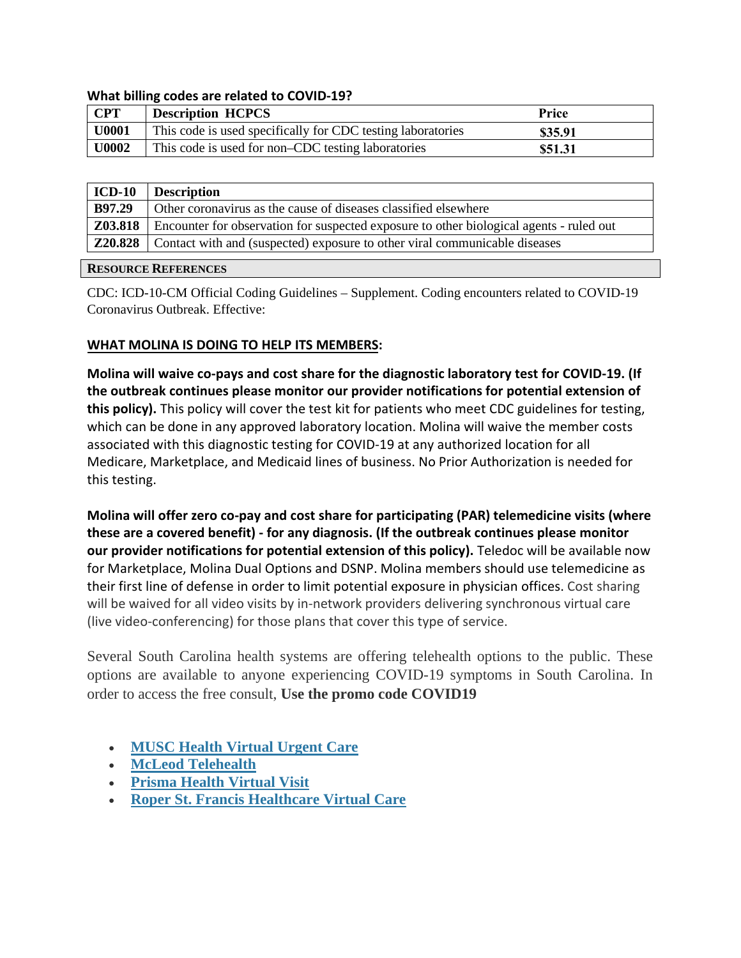#### **What billing codes are related to COVID-19?**

| <b>CPT</b> | <b>Description HCPCS</b>                                    | Price   |
|------------|-------------------------------------------------------------|---------|
| U0001      | This code is used specifically for CDC testing laboratories | \$35.91 |
| U0002      | This code is used for non–CDC testing laboratories          | \$51.31 |

| $ICD-10$       | <b>Description</b>                                                                      |  |
|----------------|-----------------------------------------------------------------------------------------|--|
| B97.29         | Other coronavirus as the cause of diseases classified elsewhere                         |  |
| Z03.818        | Encounter for observation for suspected exposure to other biological agents - ruled out |  |
| <b>Z20.828</b> | Contact with and (suspected) exposure to other viral communicable diseases              |  |

#### **RESOURCE REFERENCES**

CDC: ICD-10-CM Official Coding Guidelines – Supplement. Coding encounters related to COVID-19 Coronavirus Outbreak. Effective:

#### **WHAT MOLINA IS DOING TO HELP ITS MEMBERS:**

 **the outbreak continues please monitor our provider notifications for potential extension of Molina will waive co-pays and cost share for the diagnostic laboratory test for COVID-19. (If this policy).** This policy will cover the test kit for patients who meet CDC guidelines for testing, which can be done in any approved laboratory location. Molina will waive the member costs associated with this diagnostic testing for COVID-19 at any authorized location for all Medicare, Marketplace, and Medicaid lines of business. No Prior Authorization is needed for this testing.

 (live video-conferencing) for those plans that cover this type of service. **Molina will offer zero co-pay and cost share for participating (PAR) telemedicine visits (where these are a covered benefit) - for any diagnosis. (If the outbreak continues please monitor our provider notifications for potential extension of this policy).** Teledoc will be available now for Marketplace, Molina Dual Options and DSNP. Molina members should use telemedicine as their first line of defense in order to limit potential exposure in physician offices. Cost sharing will be waived for all video visits by in-network providers delivering synchronous virtual care

Several South Carolina health systems are offering telehealth options to the public. These options are available to anyone experiencing COVID-19 symptoms in South Carolina. In order to access the free consult, **Use the promo code COVID19** 

- **[MUSC Health Virtual Urgent Care](https://campaigns.muschealth.org/virtual-care/index.html)**
- **[McLeod Telehealth](https://www.mcleodhealth.org/services/care/telehealth/)**
- **[Prisma Health Virtual Visit](https://www.prismahealth.org/virtual-visit/)**
- **[Roper St. Francis Healthcare Virtual Care](https://www.rsfh.com/virtualcare/)**